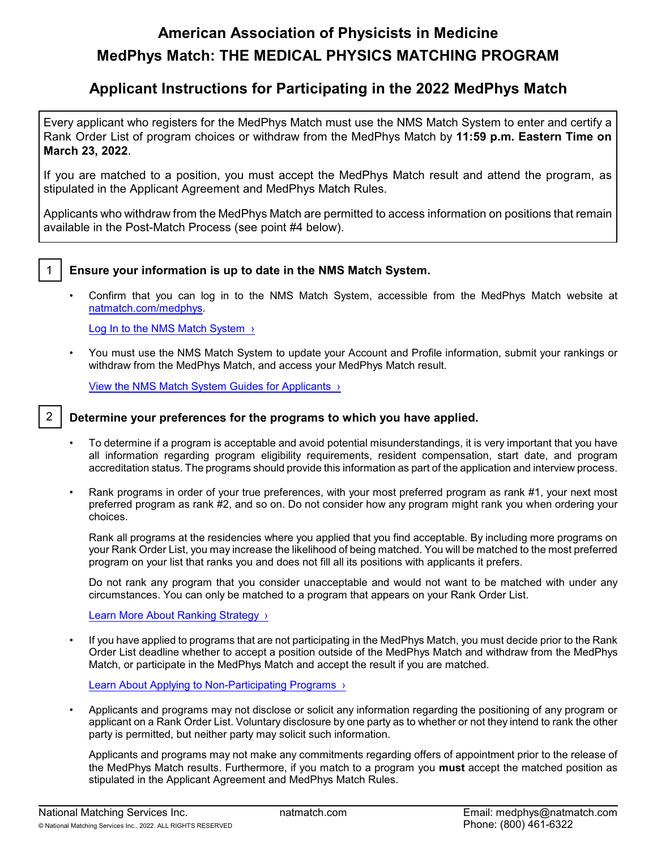# **American Association of Physicists in Medicine MedPhys Match: THE MEDICAL PHYSICS MATCHING PROGRAM**

# **Applicant Instructions for Participating in the 2022 MedPhys Match**

Every applicant who registers for the MedPhys Match must use the NMS Match System to enter and certify a Rank Order List of program choices or withdraw from the MedPhys Match by **11:59 p.m. Eastern Time on March 23, 2022**.

If you are matched to a position, you must accept the MedPhys Match result and attend the program, as stipulated in the Applicant Agreement and MedPhys Match Rules.

Applicants who withdraw from the MedPhys Match are permitted to access information on positions that remain available in the Post-Match Process (see point #4 below).



## 1 **Ensure your information is up to date in the NMS Match System.**

• Confirm that you can log in to the NMS Match System, accessible from the MedPhys Match website at [natmatch.com/medphys](https://natmatch.com/medphys).

Log In to the NMS Match System >

• You must use the NMS Match System to update your Account and Profile information, submit your rankings or withdraw from the MedPhys Match, and access your MedPhys Match result.

[View the NMS Match System Guides for Applicants ›](https://natmatch.com/medphys/help/app-landing.html#guides)

#### 2 **Determine your preferences for the programs to which you have applied.**

- To determine if a program is acceptable and avoid potential misunderstandings, it is very important that you have all information regarding program eligibility requirements, resident compensation, start date, and program accreditation status. The programs should provide this information as part of the application and interview process.
- Rank programs in order of your true preferences, with your most preferred program as rank #1, your next most preferred program as rank #2, and so on. Do not consider how any program might rank you when ordering your choices.

Rank all programs at the residencies where you applied that you find acceptable. By including more programs on your Rank Order List, you may increase the likelihood of being matched. You will be matched to the most preferred program on your list that ranks you and does not fill all its positions with applicants it prefers.

Do not rank any program that you consider unacceptable and would not want to be matched with under any circumstances. You can only be matched to a program that appears on your Rank Order List.

Learn More About Ranking Strategy >

• If you have applied to programs that are not participating in the MedPhys Match, you must decide prior to the Rank Order List deadline whether to accept a position outside of the MedPhys Match and withdraw from the MedPhys Match, or participate in the MedPhys Match and accept the result if you are matched.

[Learn About Applying to Non-Participating Programs ›](https://natmatch.com/medphys/applicants/applications.html#nonmatch)

• Applicants and programs may not disclose or solicit any information regarding the positioning of any program or applicant on a Rank Order List. Voluntary disclosure by one party as to whether or not they intend to rank the other party is permitted, but neither party may solicit such information.

Applicants and programs may not make any commitments regarding offers of appointment prior to the release of the MedPhys Match results. Furthermore, if you match to a program you **must** accept the matched position as stipulated in the Applicant Agreement and MedPhys Match Rules.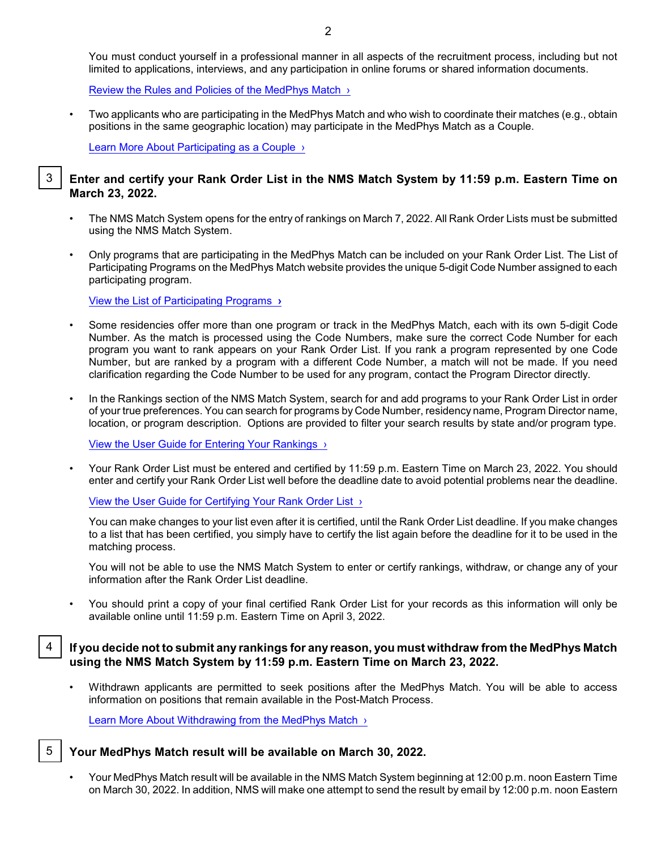You must conduct yourself in a professional manner in all aspects of the recruitment process, including but not limited to applications, interviews, and any participation in online forums or shared information documents.

[Review the Rules and Policies of the MedPhys Match ›](https://natmatch.com/medphys/rules.html)

• Two applicants who are participating in the MedPhys Match and who wish to coordinate their matches (e.g., obtain positions in the same geographic location) may participate in the MedPhys Match as a Couple.

[Learn More About Participating as a Couple ›](https://natmatch.com/medphys/applicants/couples.html)

#### 3 **Enter and certify your Rank Order List in the NMS Match System by 11:59 p.m. Eastern Time on March 23, 2022.**

- The NMS Match System opens for the entry of rankings on March 7, 2022. All Rank Order Lists must be submitted using the NMS Match System.
- Only programs that are participating in the MedPhys Match can be included on your Rank Order List. The List of Participating Programs on the MedPhys Match website provides the unique 5-digit Code Number assigned to each participating program.

[View the List of Participating Programs](https://natmatch.com/medphys/directory/participating-programs.html) **›**

- Some residencies offer more than one program or track in the MedPhys Match, each with its own 5-digit Code Number. As the match is processed using the Code Numbers, make sure the correct Code Number for each program you want to rank appears on your Rank Order List. If you rank a program represented by one Code Number, but are ranked by a program with a different Code Number, a match will not be made. If you need clarification regarding the Code Number to be used for any program, contact the Program Director directly.
- In the Rankings section of the NMS Match System, search for and add programs to your Rank Order List in order of your true preferences. You can search for programs by Code Number, residency name, Program Director name, location, or program description. Options are provided to filter your search results by state and/or program type.

[View the User Guide for Entering Your Rankings ›](https://natmatch.com/medphys/applicants/rankings-guide.html#enter)

• Your Rank Order List must be entered and certified by 11:59 p.m. Eastern Time on March 23, 2022. You should enter and certify your Rank Order List well before the deadline date to avoid potential problems near the deadline.

[View the User Guide for Certifying Your Rank](https://natmatch.com/medphys/applicants/rankings-guide.html#certify) Order List ›

You can make changes to your list even after it is certified, until the Rank Order List deadline. If you make changes to a list that has been certified, you simply have to certify the list again before the deadline for it to be used in the matching process.

You will not be able to use the NMS Match System to enter or certify rankings, withdraw, or change any of your information after the Rank Order List deadline.

• You should print a copy of your final certified Rank Order List for your records as this information will only be available online until 11:59 p.m. Eastern Time on April 3, 2022.

# 4 **If you decide not to submit any rankings for any reason, you must withdraw from the MedPhys Match using the NMS Match System by 11:59 p.m. Eastern Time on March 23, 2022.**

• Withdrawn applicants are permitted to seek positions after the MedPhys Match. You will be able to access information on positions that remain available in the Post-Match Process.

Learn More About Withdrawing from the MedPhys Match >

## 5 **Your MedPhys Match result will be available on March 30, 2022.**

• Your MedPhys Match result will be available in the NMS Match System beginning at 12:00 p.m. noon Eastern Time on March 30, 2022. In addition, NMS will make one attempt to send the result by email by 12:00 p.m. noon Eastern